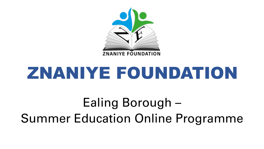

# ZNANIYE FOUNDATION

Ealing Borough – Summer Education Online Programme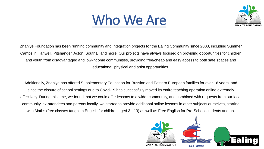## Who We Are



Znaniye Foundation has been running community and integration projects for the Ealing Community since 2003, including Summer Camps in Hanwell, Pitshanger, Acton, Southall and more. Our projects have always focused on providing opportunities for children and youth from disadvantaged and low-income communities, providing free/cheap and easy access to both safe spaces and educational, physical and artist opportunities.

Additionally, Znaniye has offered Supplementary Education for Russian and Eastern European families for over 16 years, and since the closure of school settings due to Covid-19 has successfully moved its entire teaching operation online extremely effectively. During this time, we found that we could offer lessons to a wider community, and combined with requests from our local community, ex-attendees and parents locally, we started to provide additional online lessons in other subjects ourselves, starting with Maths (free classes taught in English for children aged 3 - 13) as well as Free English for Pre-School students and up.

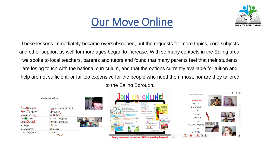#### Our Move Online



These lessons immediately became oversubscribed, but the requests for more topics, core subjects and other support as well for more ages began to increase. With so many contacts in the Ealing area, we spoke to local teachers, parents and tutors and found that many parents feel that their students are losing touch with the national curriculum, and that the options currently available for tuition and help are not sufficient, or far too expensive for the people who need them most, nor are they tailored to the Ealing Borough.

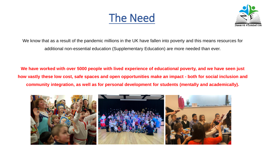The Need



We know that as a result of the pandemic millions in the UK have fallen into poverty and this means resources for additional non-essential education (Supplementary Education) are more needed than ever.

**We have worked with over 5000 people with lived experience of educational poverty, and we have seen just how vastly these low cost, safe spaces and open opportunities make an impact - both for social inclusion and community integration, as well as for personal development for students (mentally and academically).**

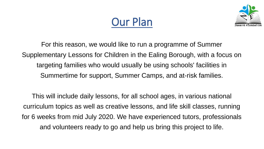



For this reason, we would like to run a programme of Summer Supplementary Lessons for Children in the Ealing Borough, with a focus on targeting families who would usually be using schools' facilities in Summertime for support, Summer Camps, and at-risk families.

This will include daily lessons, for all school ages, in various national curriculum topics as well as creative lessons, and life skill classes, running for 6 weeks from mid July 2020. We have experienced tutors, professionals and volunteers ready to go and help us bring this project to life.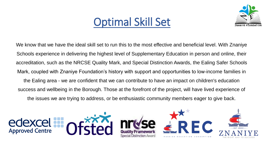### Optimal Skill Set



We know that we have the ideal skill set to run this to the most effective and beneficial level. With Znaniye Schools experience in delivering the highest level of Supplementary Education in person and online, their accreditation, such as the NRCSE Quality Mark, and Special Distinction Awards, the Ealing Safer Schools Mark, coupled with Znaniye Foundation's history with support and opportunities to low-income families in the Ealing area - we are confident that we can contribute to have an impact on children's education success and wellbeing in the Borough. Those at the forefront of the project, will have lived experience of the issues we are trying to address, or be enthusiastic community members eager to give back.

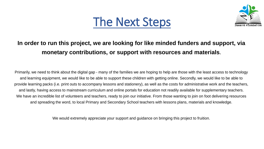



#### **In order to run this project, we are looking for like minded funders and support, via monetary contributions, or support with resources and materials.**

Primarily, we need to think about the digital gap - many of the families we are hoping to help are those with the least access to technology and learning equipment, we would like to be able to support these children with getting online. Secondly, we would like to be able to provide learning packs (i.e. print outs to accompany lessons and stationery), as well as the costs for administrative work and the teachers, and lastly, having access to mainstream curriculum and online portals for education not readily available for supplementary teachers. We have an incredible list of volunteers and teachers, ready to join our initiative. From those wanting to join on foot delivering resources and spreading the word, to local Primary and Secondary School teachers with lessons plans, materials and knowledge.

We would extremely appreciate your support and guidance on bringing this project to fruition.